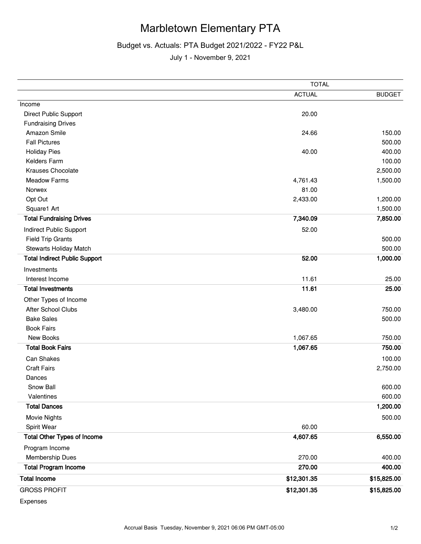## Marbletown Elementary PTA

## Budget vs. Actuals: PTA Budget 2021/2022 - FY22 P&L

July 1 - November 9, 2021

|                                      | <b>TOTAL</b>  |               |  |
|--------------------------------------|---------------|---------------|--|
|                                      | <b>ACTUAL</b> | <b>BUDGET</b> |  |
| Income                               |               |               |  |
| Direct Public Support                | 20.00         |               |  |
| <b>Fundraising Drives</b>            |               |               |  |
| Amazon Smile                         | 24.66         | 150.00        |  |
| <b>Fall Pictures</b>                 |               | 500.00        |  |
| <b>Holiday Pies</b>                  | 40.00         | 400.00        |  |
| Kelders Farm                         |               | 100.00        |  |
| Krauses Chocolate                    |               | 2,500.00      |  |
| <b>Meadow Farms</b>                  | 4,761.43      | 1,500.00      |  |
| Norwex                               | 81.00         |               |  |
| Opt Out                              | 2,433.00      | 1,200.00      |  |
| Square1 Art                          |               | 1,500.00      |  |
| <b>Total Fundraising Drives</b>      | 7,340.09      | 7,850.00      |  |
| Indirect Public Support              | 52.00         |               |  |
| <b>Field Trip Grants</b>             |               | 500.00        |  |
| Stewarts Holiday Match               |               | 500.00        |  |
| <b>Total Indirect Public Support</b> | 52.00         | 1,000.00      |  |
| Investments                          |               |               |  |
| Interest Income                      | 11.61         | 25.00         |  |
| <b>Total Investments</b>             | 11.61         | 25.00         |  |
| Other Types of Income                |               |               |  |
| After School Clubs                   | 3,480.00      | 750.00        |  |
| <b>Bake Sales</b>                    |               | 500.00        |  |
| <b>Book Fairs</b>                    |               |               |  |
| New Books                            | 1,067.65      | 750.00        |  |
| <b>Total Book Fairs</b>              | 1,067.65      | 750.00        |  |
| Can Shakes                           |               | 100.00        |  |
| <b>Craft Fairs</b>                   |               | 2,750.00      |  |
| Dances                               |               |               |  |
| Snow Ball                            |               | 600.00        |  |
| Valentines                           |               | 600.00        |  |
| <b>Total Dances</b>                  |               | 1,200.00      |  |
| Movie Nights                         |               | 500.00        |  |
| Spirit Wear                          | 60.00         |               |  |
| <b>Total Other Types of Income</b>   | 4,607.65      | 6,550.00      |  |
| Program Income                       |               |               |  |
| Membership Dues                      | 270.00        | 400.00        |  |
| <b>Total Program Income</b>          | 270.00        | 400.00        |  |
| <b>Total Income</b>                  | \$12,301.35   | \$15,825.00   |  |
| <b>GROSS PROFIT</b>                  | \$12,301.35   | \$15,825.00   |  |

Expenses